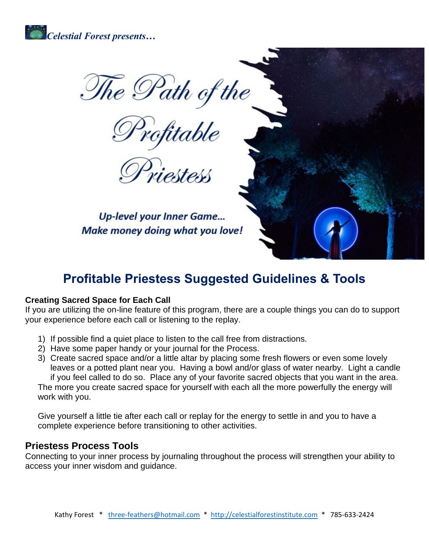

The Path of the

**Up-level your Inner Game...** Make money doing what you love!

# **Profitable Priestess Suggested Guidelines & Tools**

#### **Creating Sacred Space for Each Call**

If you are utilizing the on-line feature of this program, there are a couple things you can do to support your experience before each call or listening to the replay.

- 1) If possible find a quiet place to listen to the call free from distractions.
- 2) Have some paper handy or your journal for the Process.
- 3) Create sacred space and/or a little altar by placing some fresh flowers or even some lovely leaves or a potted plant near you. Having a bowl and/or glass of water nearby. Light a candle if you feel called to do so. Place any of your favorite sacred objects that you want in the area. The more you create sacred space for yourself with each all the more powerfully the energy will work with you.

Give yourself a little tie after each call or replay for the energy to settle in and you to have a complete experience before transitioning to other activities.

#### **Priestess Process Tools**

Connecting to your inner process by journaling throughout the process will strengthen your ability to access your inner wisdom and guidance.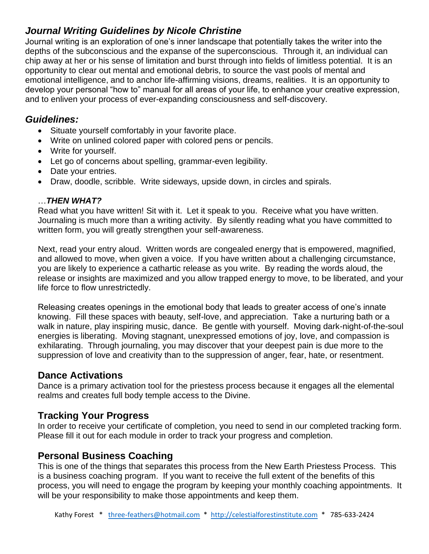## *Journal Writing Guidelines by Nicole Christine*

Journal writing is an exploration of one's inner landscape that potentially takes the writer into the depths of the subconscious and the expanse of the superconscious. Through it, an individual can chip away at her or his sense of limitation and burst through into fields of limitless potential. It is an opportunity to clear out mental and emotional debris, to source the vast pools of mental and emotional intelligence, and to anchor life-affirming visions, dreams, realities. It is an opportunity to develop your personal "how to" manual for all areas of your life, to enhance your creative expression, and to enliven your process of ever-expanding consciousness and self-discovery.

### *Guidelines:*

- Situate yourself comfortably in your favorite place.
- Write on unlined colored paper with colored pens or pencils.
- Write for yourself.
- Let go of concerns about spelling, grammar-even legibility.
- Date your entries.
- Draw, doodle, scribble. Write sideways, upside down, in circles and spirals.

#### …*THEN WHAT?*

Read what you have written! Sit with it. Let it speak to you. Receive what you have written. Journaling is much more than a writing activity. By silently reading what you have committed to written form, you will greatly strengthen your self-awareness.

Next, read your entry aloud. Written words are congealed energy that is empowered, magnified, and allowed to move, when given a voice. If you have written about a challenging circumstance, you are likely to experience a cathartic release as you write. By reading the words aloud, the release or insights are maximized and you allow trapped energy to move, to be liberated, and your life force to flow unrestrictedly.

Releasing creates openings in the emotional body that leads to greater access of one's innate knowing. Fill these spaces with beauty, self-love, and appreciation. Take a nurturing bath or a walk in nature, play inspiring music, dance. Be gentle with yourself. Moving dark-night-of-the-soul energies is liberating. Moving stagnant, unexpressed emotions of joy, love, and compassion is exhilarating. Through journaling, you may discover that your deepest pain is due more to the suppression of love and creativity than to the suppression of anger, fear, hate, or resentment.

### **Dance Activations**

Dance is a primary activation tool for the priestess process because it engages all the elemental realms and creates full body temple access to the Divine.

### **Tracking Your Progress**

In order to receive your certificate of completion, you need to send in our completed tracking form. Please fill it out for each module in order to track your progress and completion.

## **Personal Business Coaching**

This is one of the things that separates this process from the New Earth Priestess Process. This is a business coaching program. If you want to receive the full extent of the benefits of this process, you will need to engage the program by keeping your monthly coaching appointments. It will be your responsibility to make those appointments and keep them.